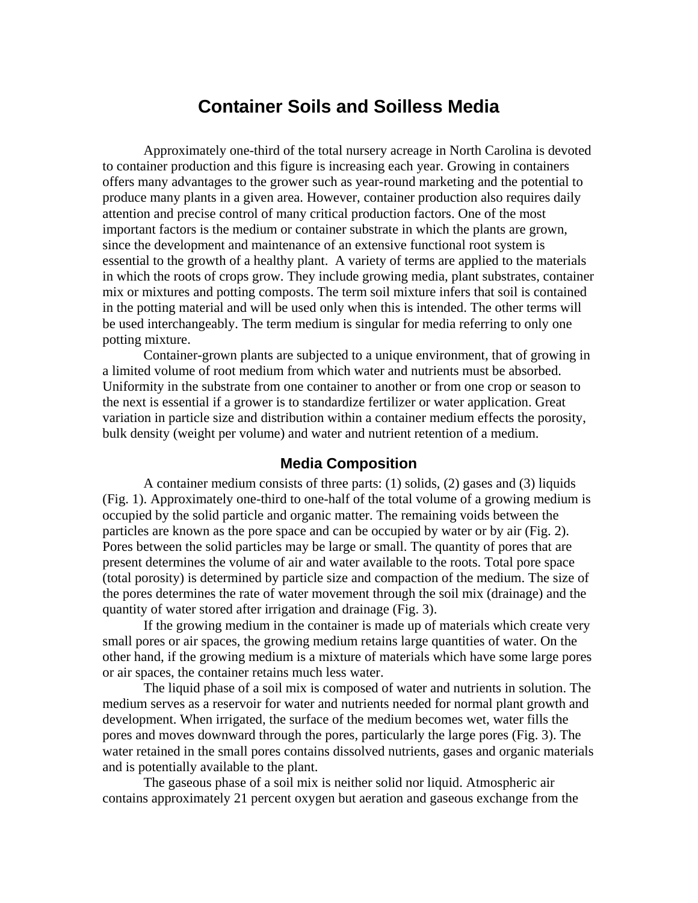# **Container Soils and Soilless Media**

Approximately one-third of the total nursery acreage in North Carolina is devoted to container production and this figure is increasing each year. Growing in containers offers many advantages to the grower such as year-round marketing and the potential to produce many plants in a given area. However, container production also requires daily attention and precise control of many critical production factors. One of the most important factors is the medium or container substrate in which the plants are grown, since the development and maintenance of an extensive functional root system is essential to the growth of a healthy plant. A variety of terms are applied to the materials in which the roots of crops grow. They include growing media, plant substrates, container mix or mixtures and potting composts. The term soil mixture infers that soil is contained in the potting material and will be used only when this is intended. The other terms will be used interchangeably. The term medium is singular for media referring to only one potting mixture.

Container-grown plants are subjected to a unique environment, that of growing in a limited volume of root medium from which water and nutrients must be absorbed. Uniformity in the substrate from one container to another or from one crop or season to the next is essential if a grower is to standardize fertilizer or water application. Great variation in particle size and distribution within a container medium effects the porosity, bulk density (weight per volume) and water and nutrient retention of a medium.

### **Media Composition**

A container medium consists of three parts:  $(1)$  solids,  $(2)$  gases and  $(3)$  liquids (Fig. 1). Approximately one-third to one-half of the total volume of a growing medium is occupied by the solid particle and organic matter. The remaining voids between the particles are known as the pore space and can be occupied by water or by air (Fig. 2). Pores between the solid particles may be large or small. The quantity of pores that are present determines the volume of air and water available to the roots. Total pore space (total porosity) is determined by particle size and compaction of the medium. The size of the pores determines the rate of water movement through the soil mix (drainage) and the quantity of water stored after irrigation and drainage (Fig. 3).

If the growing medium in the container is made up of materials which create very small pores or air spaces, the growing medium retains large quantities of water. On the other hand, if the growing medium is a mixture of materials which have some large pores or air spaces, the container retains much less water.

The liquid phase of a soil mix is composed of water and nutrients in solution. The medium serves as a reservoir for water and nutrients needed for normal plant growth and development. When irrigated, the surface of the medium becomes wet, water fills the pores and moves downward through the pores, particularly the large pores (Fig. 3). The water retained in the small pores contains dissolved nutrients, gases and organic materials and is potentially available to the plant.

The gaseous phase of a soil mix is neither solid nor liquid. Atmospheric air contains approximately 21 percent oxygen but aeration and gaseous exchange from the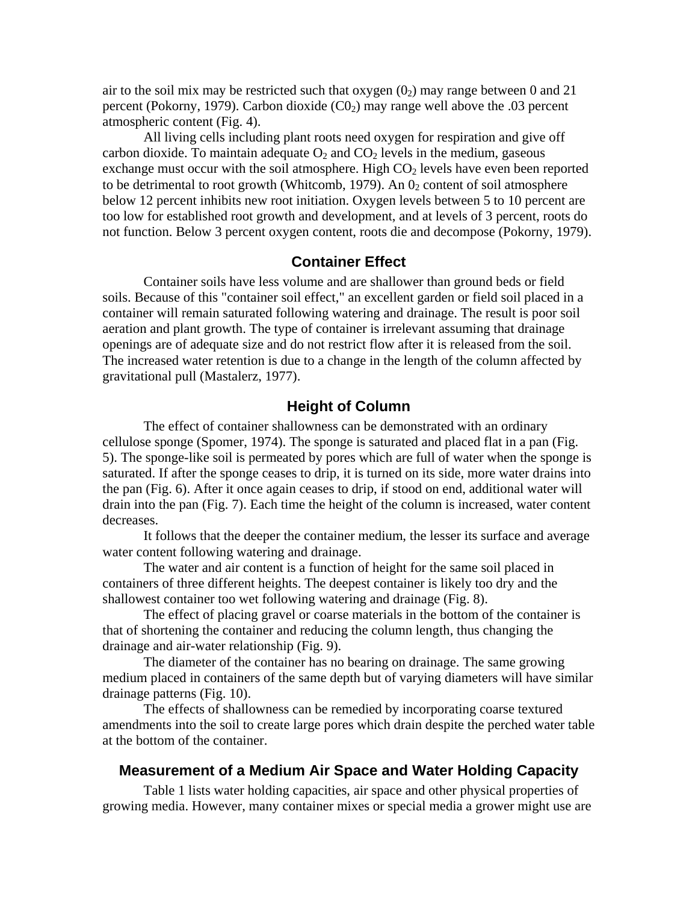air to the soil mix may be restricted such that oxygen  $(0<sub>2</sub>)$  may range between 0 and 21 percent (Pokorny, 1979). Carbon dioxide  $(C_2)$  may range well above the .03 percent atmospheric content (Fig. 4).

All living cells including plant roots need oxygen for respiration and give off carbon dioxide. To maintain adequate  $O_2$  and  $CO_2$  levels in the medium, gaseous exchange must occur with the soil atmosphere. High  $CO<sub>2</sub>$  levels have even been reported to be detrimental to root growth (Whitcomb, 1979). An  $0<sub>2</sub>$  content of soil atmosphere below 12 percent inhibits new root initiation. Oxygen levels between 5 to 10 percent are too low for established root growth and development, and at levels of 3 percent, roots do not function. Below 3 percent oxygen content, roots die and decompose (Pokorny, 1979).

# **Container Effect**

Container soils have less volume and are shallower than ground beds or field soils. Because of this "container soil effect," an excellent garden or field soil placed in a container will remain saturated following watering and drainage. The result is poor soil aeration and plant growth. The type of container is irrelevant assuming that drainage openings are of adequate size and do not restrict flow after it is released from the soil. The increased water retention is due to a change in the length of the column affected by gravitational pull (Mastalerz, 1977).

#### **Height of Column**

The effect of container shallowness can be demonstrated with an ordinary cellulose sponge (Spomer, 1974). The sponge is saturated and placed flat in a pan (Fig. 5). The sponge-like soil is permeated by pores which are full of water when the sponge is saturated. If after the sponge ceases to drip, it is turned on its side, more water drains into the pan (Fig. 6). After it once again ceases to drip, if stood on end, additional water will drain into the pan (Fig. 7). Each time the height of the column is increased, water content decreases.

It follows that the deeper the container medium, the lesser its surface and average water content following watering and drainage.

The water and air content is a function of height for the same soil placed in containers of three different heights. The deepest container is likely too dry and the shallowest container too wet following watering and drainage (Fig. 8).

The effect of placing gravel or coarse materials in the bottom of the container is that of shortening the container and reducing the column length, thus changing the drainage and air-water relationship (Fig. 9).

The diameter of the container has no bearing on drainage. The same growing medium placed in containers of the same depth but of varying diameters will have similar drainage patterns (Fig. 10).

The effects of shallowness can be remedied by incorporating coarse textured amendments into the soil to create large pores which drain despite the perched water table at the bottom of the container.

### **Measurement of a Medium Air Space and Water Holding Capacity**

Table 1 lists water holding capacities, air space and other physical properties of growing media. However, many container mixes or special media a grower might use are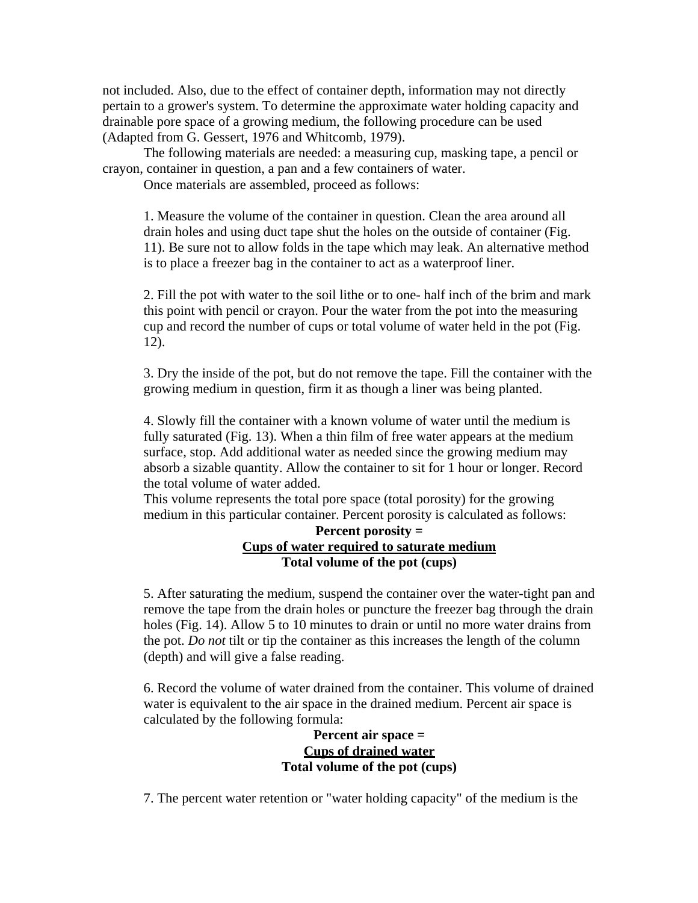not included. Also, due to the effect of container depth, information may not directly pertain to a grower's system. To determine the approximate water holding capacity and drainable pore space of a growing medium, the following procedure can be used (Adapted from G. Gessert, 1976 and Whitcomb, 1979).

The following materials are needed: a measuring cup, masking tape, a pencil or crayon, container in question, a pan and a few containers of water.

Once materials are assembled, proceed as follows:

1. Measure the volume of the container in question. Clean the area around all drain holes and using duct tape shut the holes on the outside of container (Fig. 11). Be sure not to allow folds in the tape which may leak. An alternative method is to place a freezer bag in the container to act as a waterproof liner.

2. Fill the pot with water to the soil lithe or to one- half inch of the brim and mark this point with pencil or crayon. Pour the water from the pot into the measuring cup and record the number of cups or total volume of water held in the pot (Fig. 12).

3. Dry the inside of the pot, but do not remove the tape. Fill the container with the growing medium in question, firm it as though a liner was being planted.

4. Slowly fill the container with a known volume of water until the medium is fully saturated (Fig. 13). When a thin film of free water appears at the medium surface, stop. Add additional water as needed since the growing medium may absorb a sizable quantity. Allow the container to sit for 1 hour or longer. Record the total volume of water added.

This volume represents the total pore space (total porosity) for the growing medium in this particular container. Percent porosity is calculated as follows:

### **Percent porosity = Cups of water required to saturate medium Total volume of the pot (cups)**

5. After saturating the medium, suspend the container over the water-tight pan and remove the tape from the drain holes or puncture the freezer bag through the drain holes (Fig. 14). Allow 5 to 10 minutes to drain or until no more water drains from the pot. *Do not* tilt or tip the container as this increases the length of the column (depth) and will give a false reading.

6. Record the volume of water drained from the container. This volume of drained water is equivalent to the air space in the drained medium. Percent air space is calculated by the following formula:

> **Percent air space = Cups of drained water Total volume of the pot (cups)**

7. The percent water retention or "water holding capacity" of the medium is the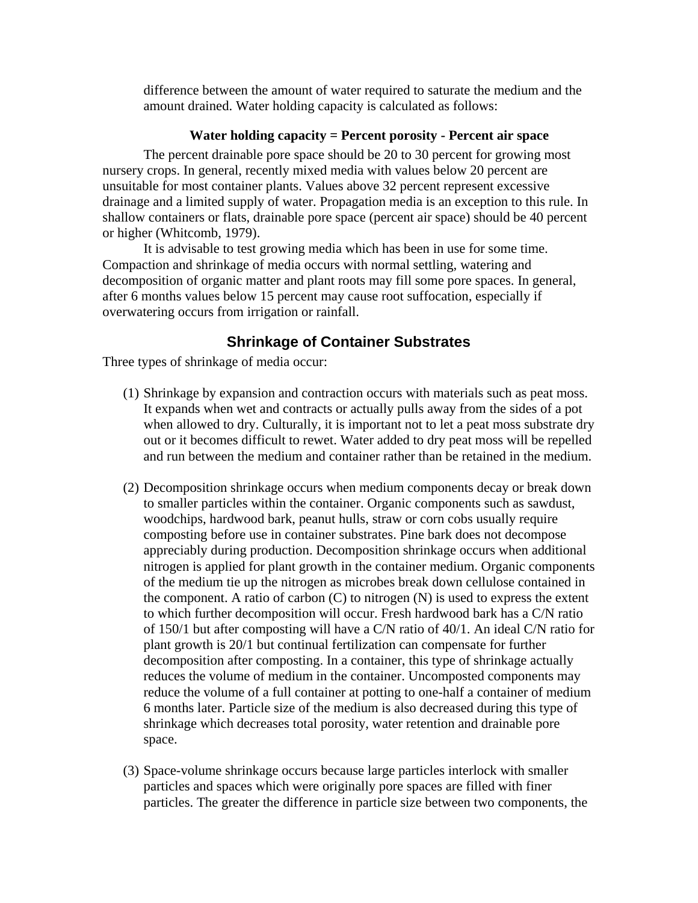difference between the amount of water required to saturate the medium and the amount drained. Water holding capacity is calculated as follows:

#### **Water holding capacity = Percent porosity - Percent air space**

The percent drainable pore space should be 20 to 30 percent for growing most nursery crops. In general, recently mixed media with values below 20 percent are unsuitable for most container plants. Values above 32 percent represent excessive drainage and a limited supply of water. Propagation media is an exception to this rule. In shallow containers or flats, drainable pore space (percent air space) should be 40 percent or higher (Whitcomb, 1979).

It is advisable to test growing media which has been in use for some time. Compaction and shrinkage of media occurs with normal settling, watering and decomposition of organic matter and plant roots may fill some pore spaces. In general, after 6 months values below 15 percent may cause root suffocation, especially if overwatering occurs from irrigation or rainfall.

### **Shrinkage of Container Substrates**

Three types of shrinkage of media occur:

- (1) Shrinkage by expansion and contraction occurs with materials such as peat moss. It expands when wet and contracts or actually pulls away from the sides of a pot when allowed to dry. Culturally, it is important not to let a peat moss substrate dry out or it becomes difficult to rewet. Water added to dry peat moss will be repelled and run between the medium and container rather than be retained in the medium.
- (2) Decomposition shrinkage occurs when medium components decay or break down to smaller particles within the container. Organic components such as sawdust, woodchips, hardwood bark, peanut hulls, straw or corn cobs usually require composting before use in container substrates. Pine bark does not decompose appreciably during production. Decomposition shrinkage occurs when additional nitrogen is applied for plant growth in the container medium. Organic components of the medium tie up the nitrogen as microbes break down cellulose contained in the component. A ratio of carbon  $(C)$  to nitrogen  $(N)$  is used to express the extent to which further decomposition will occur. Fresh hardwood bark has a C/N ratio of 150/1 but after composting will have a C/N ratio of 40/1. An ideal C/N ratio for plant growth is 20/1 but continual fertilization can compensate for further decomposition after composting. In a container, this type of shrinkage actually reduces the volume of medium in the container. Uncomposted components may reduce the volume of a full container at potting to one-half a container of medium 6 months later. Particle size of the medium is also decreased during this type of shrinkage which decreases total porosity, water retention and drainable pore space.
- (3) Space-volume shrinkage occurs because large particles interlock with smaller particles and spaces which were originally pore spaces are filled with finer particles. The greater the difference in particle size between two components, the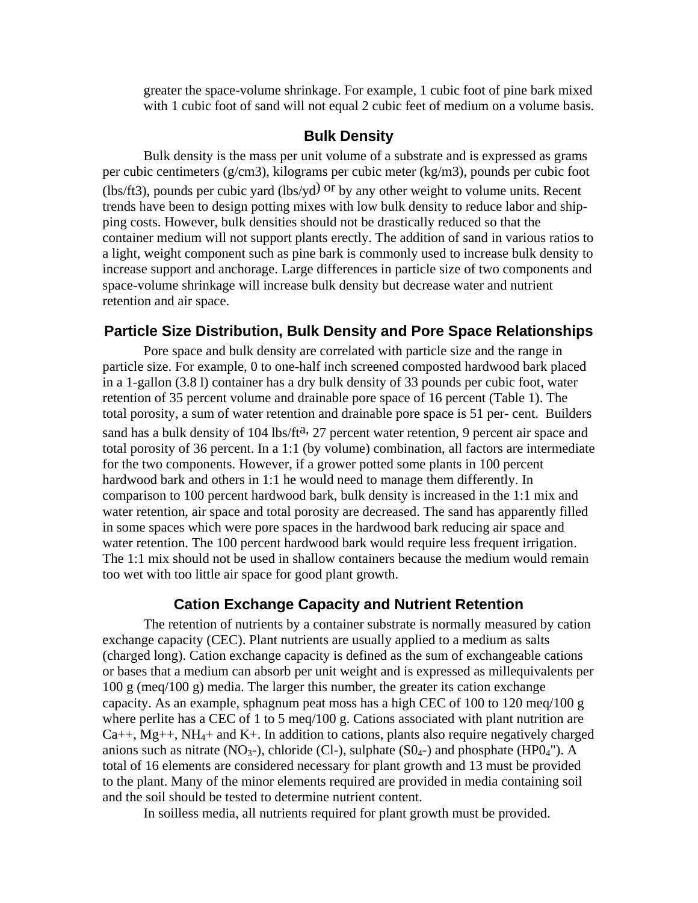greater the space-volume shrinkage. For example, 1 cubic foot of pine bark mixed with 1 cubic foot of sand will not equal 2 cubic feet of medium on a volume basis.

#### **Bulk Density**

Bulk density is the mass per unit volume of a substrate and is expressed as grams per cubic centimeters (g/cm3), kilograms per cubic meter (kg/m3), pounds per cubic foot (lbs/ft3), pounds per cubic yard (lbs/yd) or by any other weight to volume units. Recent trends have been to design potting mixes with low bulk density to reduce labor and shipping costs. However, bulk densities should not be drastically reduced so that the container medium will not support plants erectly. The addition of sand in various ratios to a light, weight component such as pine bark is commonly used to increase bulk density to increase support and anchorage. Large differences in particle size of two components and space-volume shrinkage will increase bulk density but decrease water and nutrient retention and air space.

### **Particle Size Distribution, Bulk Density and Pore Space Relationships**

Pore space and bulk density are correlated with particle size and the range in particle size. For example, 0 to one-half inch screened composted hardwood bark placed in a 1-gallon (3.8 l) container has a dry bulk density of 33 pounds per cubic foot, water retention of 35 percent volume and drainable pore space of 16 percent (Table 1). The total porosity, a sum of water retention and drainable pore space is 51 per- cent. Builders sand has a bulk density of 104 lbs/ft<sup>a, 27</sup> percent water retention, 9 percent air space and total porosity of 36 percent. In a 1:1 (by volume) combination, all factors are intermediate for the two components. However, if a grower potted some plants in 100 percent hardwood bark and others in 1:1 he would need to manage them differently. In comparison to 100 percent hardwood bark, bulk density is increased in the 1:1 mix and water retention, air space and total porosity are decreased. The sand has apparently filled in some spaces which were pore spaces in the hardwood bark reducing air space and water retention. The 100 percent hardwood bark would require less frequent irrigation. The 1:1 mix should not be used in shallow containers because the medium would remain too wet with too little air space for good plant growth.

#### **Cation Exchange Capacity and Nutrient Retention**

The retention of nutrients by a container substrate is normally measured by cation exchange capacity (CEC). Plant nutrients are usually applied to a medium as salts (charged long). Cation exchange capacity is defined as the sum of exchangeable cations or bases that a medium can absorb per unit weight and is expressed as millequivalents per 100 g (meq/100 g) media. The larger this number, the greater its cation exchange capacity. As an example, sphagnum peat moss has a high CEC of 100 to 120 meq/100 g where perlite has a CEC of 1 to 5 meq/100 g. Cations associated with plant nutrition are  $Ca_{++}$ , Mg<sub>++</sub>, NH<sub>4</sub>+ and K<sub>+</sub>. In addition to cations, plants also require negatively charged anions such as nitrate (NO<sub>3</sub>-), chloride (Cl-), sulphate (SO<sub>4</sub>-) and phosphate (HPO<sub>4</sub>"). A total of 16 elements are considered necessary for plant growth and 13 must be provided to the plant. Many of the minor elements required are provided in media containing soil and the soil should be tested to determine nutrient content.

In soilless media, all nutrients required for plant growth must be provided.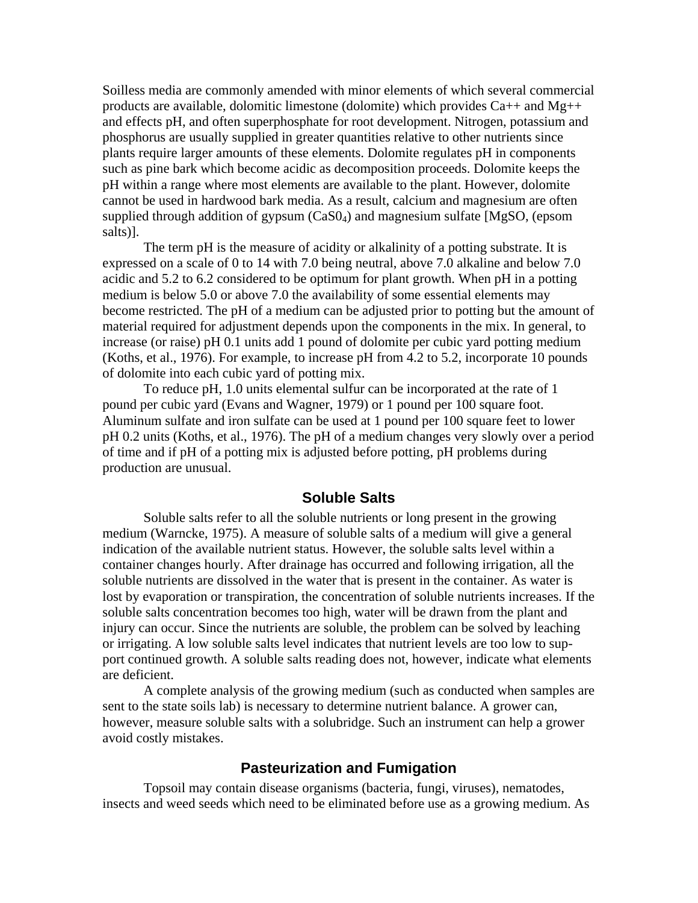Soilless media are commonly amended with minor elements of which several commercial products are available, dolomitic limestone (dolomite) which provides  $Ca++$  and  $Mg++$ and effects pH, and often superphosphate for root development. Nitrogen, potassium and phosphorus are usually supplied in greater quantities relative to other nutrients since plants require larger amounts of these elements. Dolomite regulates pH in components such as pine bark which become acidic as decomposition proceeds. Dolomite keeps the pH within a range where most elements are available to the plant. However, dolomite cannot be used in hardwood bark media. As a result, calcium and magnesium are often supplied through addition of gypsum (CaS04) and magnesium sulfate [MgSO, (epsom salts)].

The term pH is the measure of acidity or alkalinity of a potting substrate. It is expressed on a scale of 0 to 14 with 7.0 being neutral, above 7.0 alkaline and below 7.0 acidic and 5.2 to 6.2 considered to be optimum for plant growth. When pH in a potting medium is below 5.0 or above 7.0 the availability of some essential elements may become restricted. The pH of a medium can be adjusted prior to potting but the amount of material required for adjustment depends upon the components in the mix. In general, to increase (or raise) pH 0.1 units add 1 pound of dolomite per cubic yard potting medium (Koths, et al., 1976). For example, to increase pH from 4.2 to 5.2, incorporate 10 pounds of dolomite into each cubic yard of potting mix.

To reduce pH, 1.0 units elemental sulfur can be incorporated at the rate of 1 pound per cubic yard (Evans and Wagner, 1979) or 1 pound per 100 square foot. Aluminum sulfate and iron sulfate can be used at 1 pound per 100 square feet to lower pH 0.2 units (Koths, et al., 1976). The pH of a medium changes very slowly over a period of time and if pH of a potting mix is adjusted before potting, pH problems during production are unusual.

#### **Soluble Salts**

Soluble salts refer to all the soluble nutrients or long present in the growing medium (Warncke, 1975). A measure of soluble salts of a medium will give a general indication of the available nutrient status. However, the soluble salts level within a container changes hourly. After drainage has occurred and following irrigation, all the soluble nutrients are dissolved in the water that is present in the container. As water is lost by evaporation or transpiration, the concentration of soluble nutrients increases. If the soluble salts concentration becomes too high, water will be drawn from the plant and injury can occur. Since the nutrients are soluble, the problem can be solved by leaching or irrigating. A low soluble salts level indicates that nutrient levels are too low to support continued growth. A soluble salts reading does not, however, indicate what elements are deficient.

A complete analysis of the growing medium (such as conducted when samples are sent to the state soils lab) is necessary to determine nutrient balance. A grower can, however, measure soluble salts with a solubridge. Such an instrument can help a grower avoid costly mistakes.

### **Pasteurization and Fumigation**

Topsoil may contain disease organisms (bacteria, fungi, viruses), nematodes, insects and weed seeds which need to be eliminated before use as a growing medium. As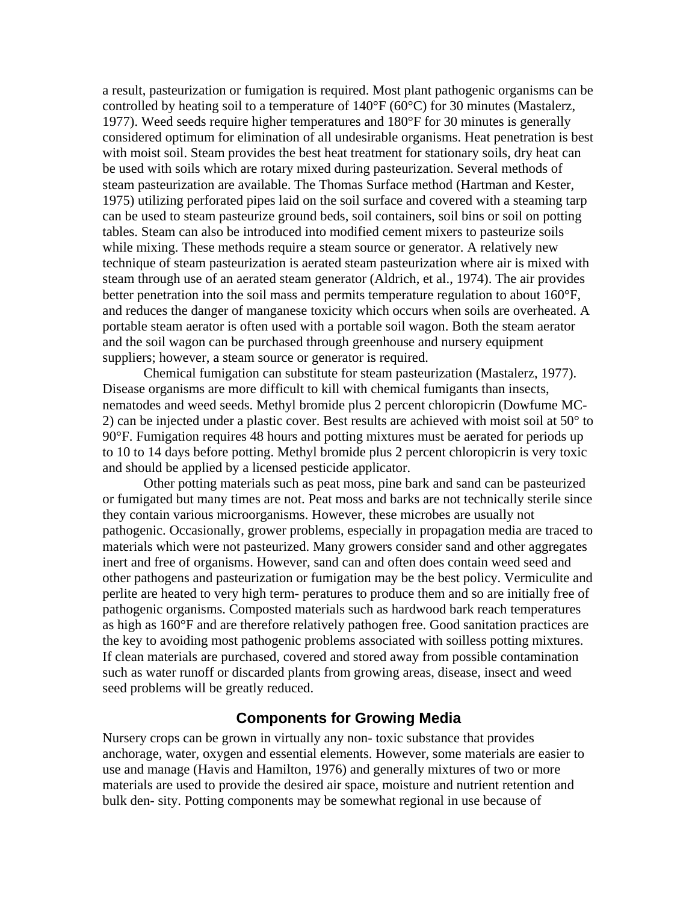a result, pasteurization or fumigation is required. Most plant pathogenic organisms can be controlled by heating soil to a temperature of 140°F (60°C) for 30 minutes (Mastalerz, 1977). Weed seeds require higher temperatures and 180°F for 30 minutes is generally considered optimum for elimination of all undesirable organisms. Heat penetration is best with moist soil. Steam provides the best heat treatment for stationary soils, dry heat can be used with soils which are rotary mixed during pasteurization. Several methods of steam pasteurization are available. The Thomas Surface method (Hartman and Kester, 1975) utilizing perforated pipes laid on the soil surface and covered with a steaming tarp can be used to steam pasteurize ground beds, soil containers, soil bins or soil on potting tables. Steam can also be introduced into modified cement mixers to pasteurize soils while mixing. These methods require a steam source or generator. A relatively new technique of steam pasteurization is aerated steam pasteurization where air is mixed with steam through use of an aerated steam generator (Aldrich, et al., 1974). The air provides better penetration into the soil mass and permits temperature regulation to about 160°F, and reduces the danger of manganese toxicity which occurs when soils are overheated. A portable steam aerator is often used with a portable soil wagon. Both the steam aerator and the soil wagon can be purchased through greenhouse and nursery equipment suppliers; however, a steam source or generator is required.

Chemical fumigation can substitute for steam pasteurization (Mastalerz, 1977). Disease organisms are more difficult to kill with chemical fumigants than insects, nematodes and weed seeds. Methyl bromide plus 2 percent chloropicrin (Dowfume MC-2) can be injected under a plastic cover. Best results are achieved with moist soil at 50° to 90°F. Fumigation requires 48 hours and potting mixtures must be aerated for periods up to 10 to 14 days before potting. Methyl bromide plus 2 percent chloropicrin is very toxic and should be applied by a licensed pesticide applicator.

Other potting materials such as peat moss, pine bark and sand can be pasteurized or fumigated but many times are not. Peat moss and barks are not technically sterile since they contain various microorganisms. However, these microbes are usually not pathogenic. Occasionally, grower problems, especially in propagation media are traced to materials which were not pasteurized. Many growers consider sand and other aggregates inert and free of organisms. However, sand can and often does contain weed seed and other pathogens and pasteurization or fumigation may be the best policy. Vermiculite and perlite are heated to very high term- peratures to produce them and so are initially free of pathogenic organisms. Composted materials such as hardwood bark reach temperatures as high as 160°F and are therefore relatively pathogen free. Good sanitation practices are the key to avoiding most pathogenic problems associated with soilless potting mixtures. If clean materials are purchased, covered and stored away from possible contamination such as water runoff or discarded plants from growing areas, disease, insect and weed seed problems will be greatly reduced.

#### **Components for Growing Media**

Nursery crops can be grown in virtually any non- toxic substance that provides anchorage, water, oxygen and essential elements. However, some materials are easier to use and manage (Havis and Hamilton, 1976) and generally mixtures of two or more materials are used to provide the desired air space, moisture and nutrient retention and bulk den- sity. Potting components may be somewhat regional in use because of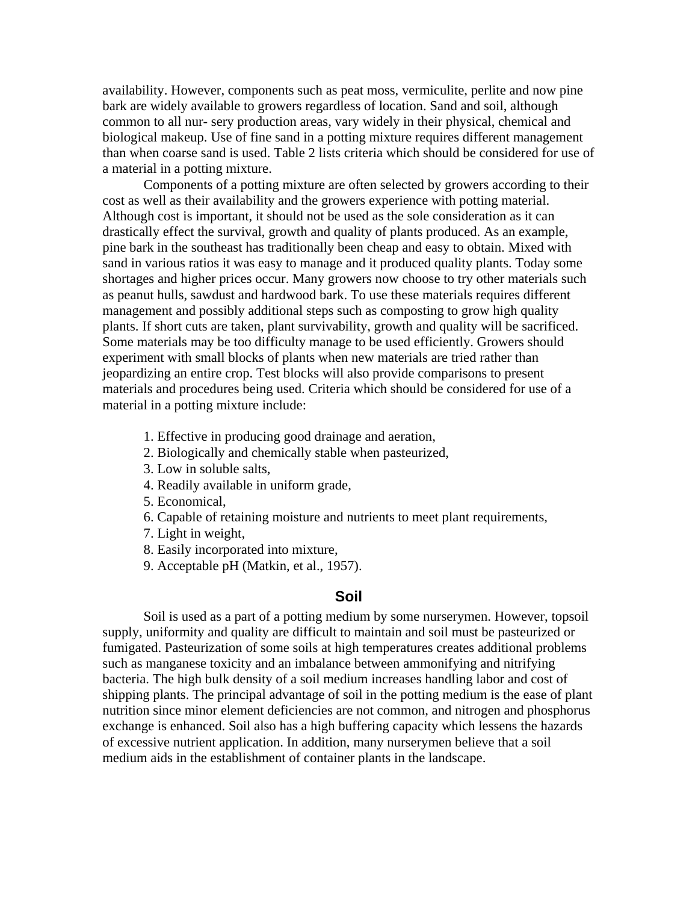availability. However, components such as peat moss, vermiculite, perlite and now pine bark are widely available to growers regardless of location. Sand and soil, although common to all nur- sery production areas, vary widely in their physical, chemical and biological makeup. Use of fine sand in a potting mixture requires different management than when coarse sand is used. Table 2 lists criteria which should be considered for use of a material in a potting mixture.

Components of a potting mixture are often selected by growers according to their cost as well as their availability and the growers experience with potting material. Although cost is important, it should not be used as the sole consideration as it can drastically effect the survival, growth and quality of plants produced. As an example, pine bark in the southeast has traditionally been cheap and easy to obtain. Mixed with sand in various ratios it was easy to manage and it produced quality plants. Today some shortages and higher prices occur. Many growers now choose to try other materials such as peanut hulls, sawdust and hardwood bark. To use these materials requires different management and possibly additional steps such as composting to grow high quality plants. If short cuts are taken, plant survivability, growth and quality will be sacrificed. Some materials may be too difficulty manage to be used efficiently. Growers should experiment with small blocks of plants when new materials are tried rather than jeopardizing an entire crop. Test blocks will also provide comparisons to present materials and procedures being used. Criteria which should be considered for use of a material in a potting mixture include:

- 1. Effective in producing good drainage and aeration,
- 2. Biologically and chemically stable when pasteurized,
- 3. Low in soluble salts,
- 4. Readily available in uniform grade,
- 5. Economical,
- 6. Capable of retaining moisture and nutrients to meet plant requirements,
- 7. Light in weight,
- 8. Easily incorporated into mixture,
- 9. Acceptable pH (Matkin, et al., 1957).

# **Soil**

Soil is used as a part of a potting medium by some nurserymen. However, topsoil supply, uniformity and quality are difficult to maintain and soil must be pasteurized or fumigated. Pasteurization of some soils at high temperatures creates additional problems such as manganese toxicity and an imbalance between ammonifying and nitrifying bacteria. The high bulk density of a soil medium increases handling labor and cost of shipping plants. The principal advantage of soil in the potting medium is the ease of plant nutrition since minor element deficiencies are not common, and nitrogen and phosphorus exchange is enhanced. Soil also has a high buffering capacity which lessens the hazards of excessive nutrient application. In addition, many nurserymen believe that a soil medium aids in the establishment of container plants in the landscape.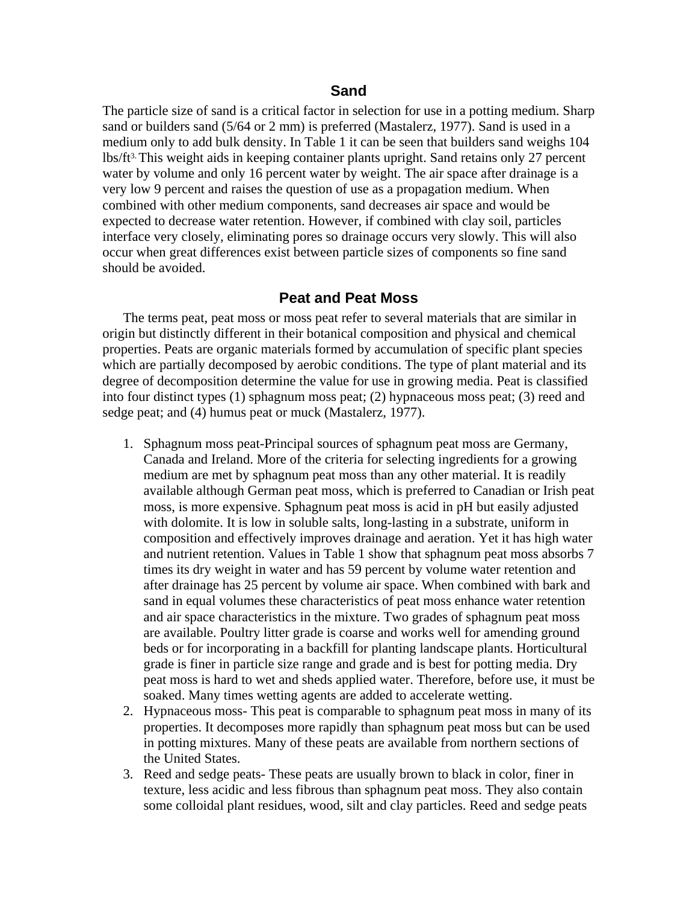### **Sand**

The particle size of sand is a critical factor in selection for use in a potting medium. Sharp sand or builders sand (5/64 or 2 mm) is preferred (Mastalerz, 1977). Sand is used in a medium only to add bulk density. In Table 1 it can be seen that builders sand weighs 104 lbs/ft3. This weight aids in keeping container plants upright. Sand retains only 27 percent water by volume and only 16 percent water by weight. The air space after drainage is a very low 9 percent and raises the question of use as a propagation medium. When combined with other medium components, sand decreases air space and would be expected to decrease water retention. However, if combined with clay soil, particles interface very closely, eliminating pores so drainage occurs very slowly. This will also occur when great differences exist between particle sizes of components so fine sand should be avoided.

#### **Peat and Peat Moss**

The terms peat, peat moss or moss peat refer to several materials that are similar in origin but distinctly different in their botanical composition and physical and chemical properties. Peats are organic materials formed by accumulation of specific plant species which are partially decomposed by aerobic conditions. The type of plant material and its degree of decomposition determine the value for use in growing media. Peat is classified into four distinct types (1) sphagnum moss peat; (2) hypnaceous moss peat; (3) reed and sedge peat; and (4) humus peat or muck (Mastalerz, 1977).

- 1. Sphagnum moss peat-Principal sources of sphagnum peat moss are Germany, Canada and Ireland. More of the criteria for selecting ingredients for a growing medium are met by sphagnum peat moss than any other material. It is readily available although German peat moss, which is preferred to Canadian or Irish peat moss, is more expensive. Sphagnum peat moss is acid in pH but easily adjusted with dolomite. It is low in soluble salts, long-lasting in a substrate, uniform in composition and effectively improves drainage and aeration. Yet it has high water and nutrient retention. Values in Table 1 show that sphagnum peat moss absorbs 7 times its dry weight in water and has 59 percent by volume water retention and after drainage has 25 percent by volume air space. When combined with bark and sand in equal volumes these characteristics of peat moss enhance water retention and air space characteristics in the mixture. Two grades of sphagnum peat moss are available. Poultry litter grade is coarse and works well for amending ground beds or for incorporating in a backfill for planting landscape plants. Horticultural grade is finer in particle size range and grade and is best for potting media. Dry peat moss is hard to wet and sheds applied water. Therefore, before use, it must be soaked. Many times wetting agents are added to accelerate wetting.
- 2. Hypnaceous moss- This peat is comparable to sphagnum peat moss in many of its properties. It decomposes more rapidly than sphagnum peat moss but can be used in potting mixtures. Many of these peats are available from northern sections of the United States.
- 3. Reed and sedge peats- These peats are usually brown to black in color, finer in texture, less acidic and less fibrous than sphagnum peat moss. They also contain some colloidal plant residues, wood, silt and clay particles. Reed and sedge peats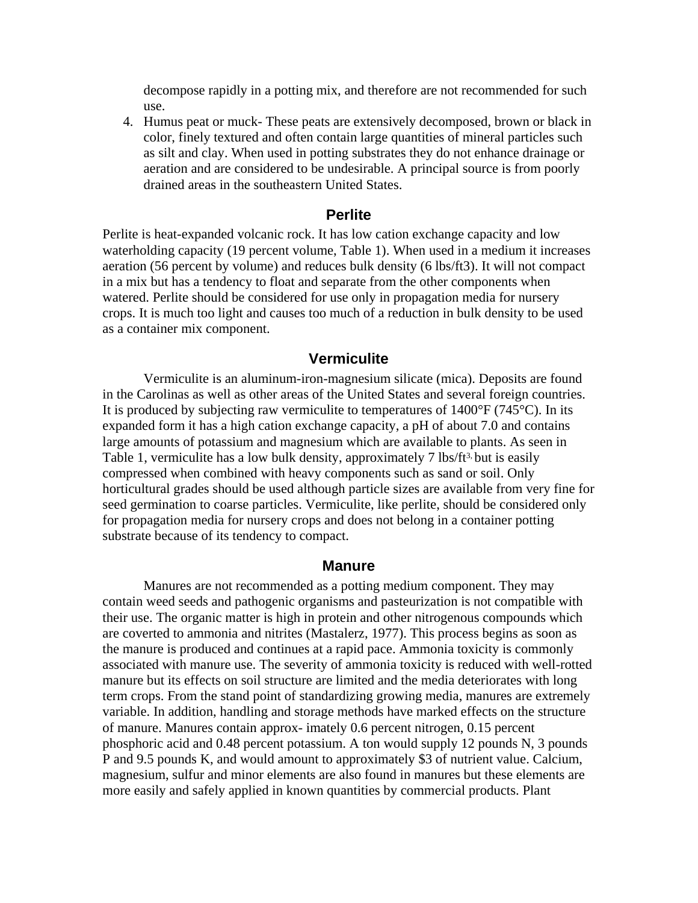decompose rapidly in a potting mix, and therefore are not recommended for such use.

4. Humus peat or muck- These peats are extensively decomposed, brown or black in color, finely textured and often contain large quantities of mineral particles such as silt and clay. When used in potting substrates they do not enhance drainage or aeration and are considered to be undesirable. A principal source is from poorly drained areas in the southeastern United States.

#### **Perlite**

Perlite is heat-expanded volcanic rock. It has low cation exchange capacity and low waterholding capacity (19 percent volume, Table 1). When used in a medium it increases aeration (56 percent by volume) and reduces bulk density (6 lbs/ft3). It will not compact in a mix but has a tendency to float and separate from the other components when watered. Perlite should be considered for use only in propagation media for nursery crops. It is much too light and causes too much of a reduction in bulk density to be used as a container mix component.

#### **Vermiculite**

Vermiculite is an aluminum-iron-magnesium silicate (mica). Deposits are found in the Carolinas as well as other areas of the United States and several foreign countries. It is produced by subjecting raw vermiculite to temperatures of  $1400^{\circ}F (745^{\circ}C)$ . In its expanded form it has a high cation exchange capacity, a pH of about 7.0 and contains large amounts of potassium and magnesium which are available to plants. As seen in Table 1, vermiculite has a low bulk density, approximately 7 lbs/ft<sup>3</sup>, but is easily compressed when combined with heavy components such as sand or soil. Only horticultural grades should be used although particle sizes are available from very fine for seed germination to coarse particles. Vermiculite, like perlite, should be considered only for propagation media for nursery crops and does not belong in a container potting substrate because of its tendency to compact.

#### **Manure**

Manures are not recommended as a potting medium component. They may contain weed seeds and pathogenic organisms and pasteurization is not compatible with their use. The organic matter is high in protein and other nitrogenous compounds which are coverted to ammonia and nitrites (Mastalerz, 1977). This process begins as soon as the manure is produced and continues at a rapid pace. Ammonia toxicity is commonly associated with manure use. The severity of ammonia toxicity is reduced with well-rotted manure but its effects on soil structure are limited and the media deteriorates with long term crops. From the stand point of standardizing growing media, manures are extremely variable. In addition, handling and storage methods have marked effects on the structure of manure. Manures contain approx- imately 0.6 percent nitrogen, 0.15 percent phosphoric acid and 0.48 percent potassium. A ton would supply 12 pounds N, 3 pounds P and 9.5 pounds K, and would amount to approximately \$3 of nutrient value. Calcium, magnesium, sulfur and minor elements are also found in manures but these elements are more easily and safely applied in known quantities by commercial products. Plant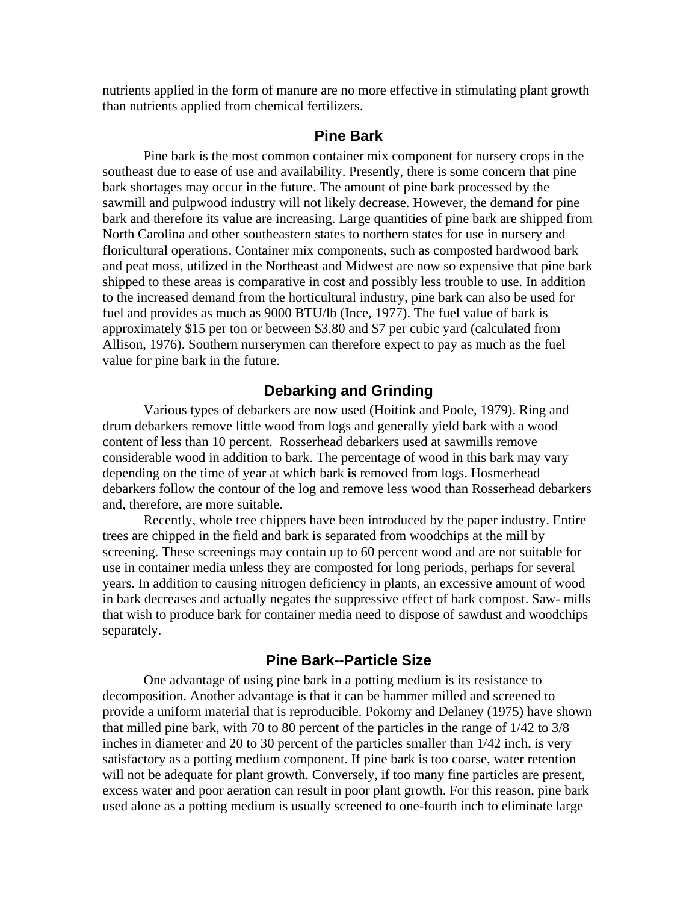nutrients applied in the form of manure are no more effective in stimulating plant growth than nutrients applied from chemical fertilizers.

#### **Pine Bark**

Pine bark is the most common container mix component for nursery crops in the southeast due to ease of use and availability. Presently, there is some concern that pine bark shortages may occur in the future. The amount of pine bark processed by the sawmill and pulpwood industry will not likely decrease. However, the demand for pine bark and therefore its value are increasing. Large quantities of pine bark are shipped from North Carolina and other southeastern states to northern states for use in nursery and floricultural operations. Container mix components, such as composted hardwood bark and peat moss, utilized in the Northeast and Midwest are now so expensive that pine bark shipped to these areas is comparative in cost and possibly less trouble to use. In addition to the increased demand from the horticultural industry, pine bark can also be used for fuel and provides as much as 9000 BTU/lb (Ince, 1977). The fuel value of bark is approximately \$15 per ton or between \$3.80 and \$7 per cubic yard (calculated from Allison, 1976). Southern nurserymen can therefore expect to pay as much as the fuel value for pine bark in the future.

### **Debarking and Grinding**

Various types of debarkers are now used (Hoitink and Poole, 1979). Ring and drum debarkers remove little wood from logs and generally yield bark with a wood content of less than 10 percent. Rosserhead debarkers used at sawmills remove considerable wood in addition to bark. The percentage of wood in this bark may vary depending on the time of year at which bark **is** removed from logs. Hosmerhead debarkers follow the contour of the log and remove less wood than Rosserhead debarkers and, therefore, are more suitable.

Recently, whole tree chippers have been introduced by the paper industry. Entire trees are chipped in the field and bark is separated from woodchips at the mill by screening. These screenings may contain up to 60 percent wood and are not suitable for use in container media unless they are composted for long periods, perhaps for several years. In addition to causing nitrogen deficiency in plants, an excessive amount of wood in bark decreases and actually negates the suppressive effect of bark compost. Saw- mills that wish to produce bark for container media need to dispose of sawdust and woodchips separately.

### **Pine Bark--Particle Size**

One advantage of using pine bark in a potting medium is its resistance to decomposition. Another advantage is that it can be hammer milled and screened to provide a uniform material that is reproducible. Pokorny and Delaney (1975) have shown that milled pine bark, with 70 to 80 percent of the particles in the range of 1/42 to 3/8 inches in diameter and 20 to 30 percent of the particles smaller than 1/42 inch, is very satisfactory as a potting medium component. If pine bark is too coarse, water retention will not be adequate for plant growth. Conversely, if too many fine particles are present, excess water and poor aeration can result in poor plant growth. For this reason, pine bark used alone as a potting medium is usually screened to one-fourth inch to eliminate large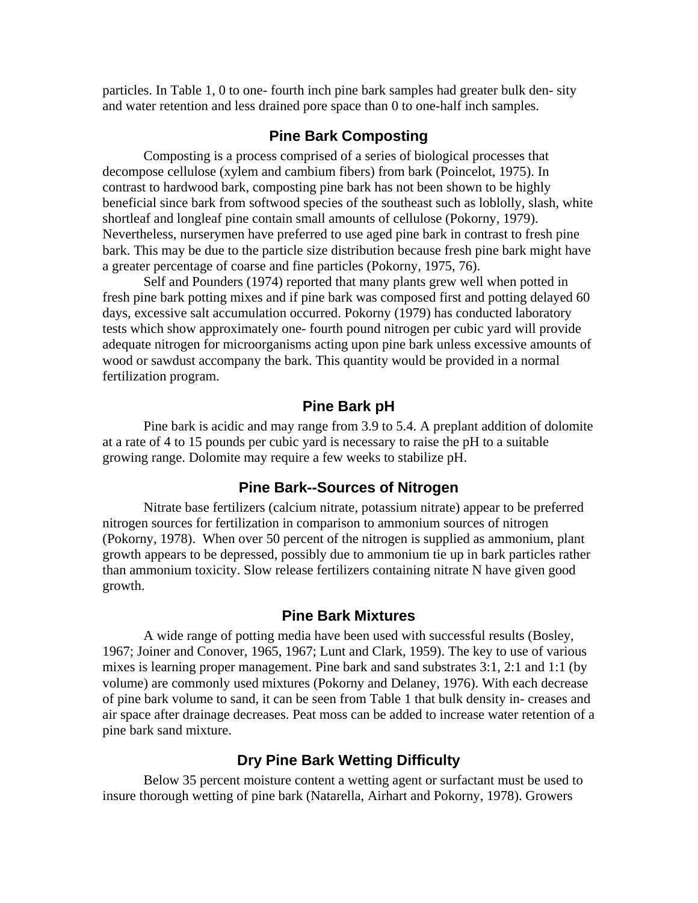particles. In Table 1, 0 to one- fourth inch pine bark samples had greater bulk den- sity and water retention and less drained pore space than 0 to one-half inch samples.

#### **Pine Bark Composting**

Composting is a process comprised of a series of biological processes that decompose cellulose (xylem and cambium fibers) from bark (Poincelot, 1975). In contrast to hardwood bark, composting pine bark has not been shown to be highly beneficial since bark from softwood species of the southeast such as loblolly, slash, white shortleaf and longleaf pine contain small amounts of cellulose (Pokorny, 1979). Nevertheless, nurserymen have preferred to use aged pine bark in contrast to fresh pine bark. This may be due to the particle size distribution because fresh pine bark might have a greater percentage of coarse and fine particles (Pokorny, 1975, 76).

Self and Pounders (1974) reported that many plants grew well when potted in fresh pine bark potting mixes and if pine bark was composed first and potting delayed 60 days, excessive salt accumulation occurred. Pokorny (1979) has conducted laboratory tests which show approximately one- fourth pound nitrogen per cubic yard will provide adequate nitrogen for microorganisms acting upon pine bark unless excessive amounts of wood or sawdust accompany the bark. This quantity would be provided in a normal fertilization program.

# **Pine Bark pH**

Pine bark is acidic and may range from 3.9 to 5.4. A preplant addition of dolomite at a rate of 4 to 15 pounds per cubic yard is necessary to raise the pH to a suitable growing range. Dolomite may require a few weeks to stabilize pH.

#### **Pine Bark--Sources of Nitrogen**

Nitrate base fertilizers (calcium nitrate, potassium nitrate) appear to be preferred nitrogen sources for fertilization in comparison to ammonium sources of nitrogen (Pokorny, 1978). When over 50 percent of the nitrogen is supplied as ammonium, plant growth appears to be depressed, possibly due to ammonium tie up in bark particles rather than ammonium toxicity. Slow release fertilizers containing nitrate N have given good growth.

#### **Pine Bark Mixtures**

A wide range of potting media have been used with successful results (Bosley, 1967; Joiner and Conover, 1965, 1967; Lunt and Clark, 1959). The key to use of various mixes is learning proper management. Pine bark and sand substrates 3:1, 2:1 and 1:1 (by volume) are commonly used mixtures (Pokorny and Delaney, 1976). With each decrease of pine bark volume to sand, it can be seen from Table 1 that bulk density in- creases and air space after drainage decreases. Peat moss can be added to increase water retention of a pine bark sand mixture.

### **Dry Pine Bark Wetting Difficulty**

Below 35 percent moisture content a wetting agent or surfactant must be used to insure thorough wetting of pine bark (Natarella, Airhart and Pokorny, 1978). Growers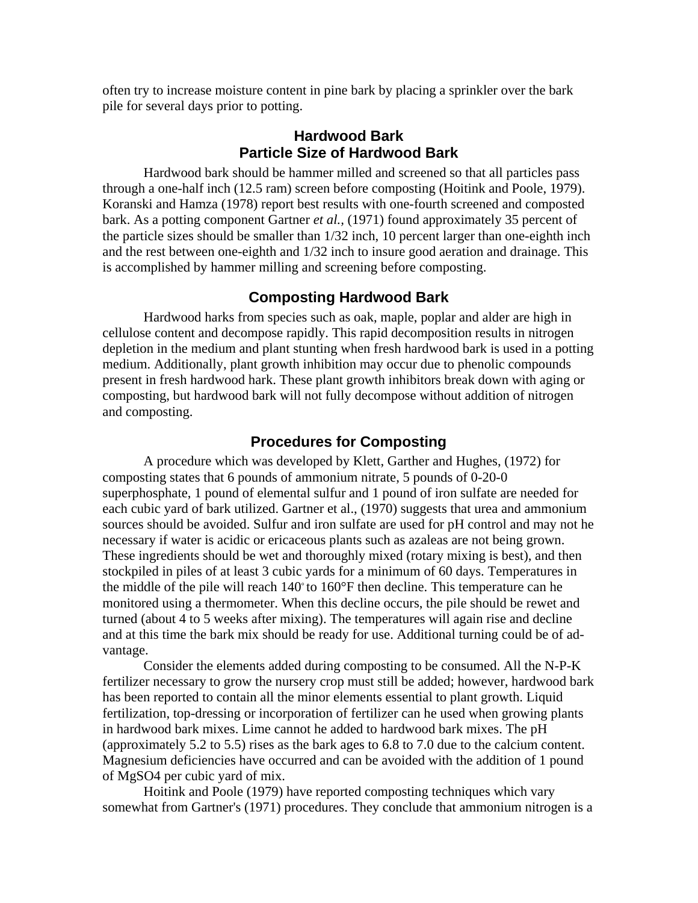often try to increase moisture content in pine bark by placing a sprinkler over the bark pile for several days prior to potting.

# **Hardwood Bark Particle Size of Hardwood Bark**

Hardwood bark should be hammer milled and screened so that all particles pass through a one-half inch (12.5 ram) screen before composting (Hoitink and Poole, 1979). Koranski and Hamza (1978) report best results with one-fourth screened and composted bark. As a potting component Gartner *et al.,* (1971) found approximately 35 percent of the particle sizes should be smaller than 1/32 inch, 10 percent larger than one-eighth inch and the rest between one-eighth and 1/32 inch to insure good aeration and drainage. This is accomplished by hammer milling and screening before composting.

### **Composting Hardwood Bark**

Hardwood harks from species such as oak, maple, poplar and alder are high in cellulose content and decompose rapidly. This rapid decomposition results in nitrogen depletion in the medium and plant stunting when fresh hardwood bark is used in a potting medium. Additionally, plant growth inhibition may occur due to phenolic compounds present in fresh hardwood hark. These plant growth inhibitors break down with aging or composting, but hardwood bark will not fully decompose without addition of nitrogen and composting.

# **Procedures for Composting**

A procedure which was developed by Klett, Garther and Hughes, (1972) for composting states that 6 pounds of ammonium nitrate, 5 pounds of 0-20-0 superphosphate, 1 pound of elemental sulfur and 1 pound of iron sulfate are needed for each cubic yard of bark utilized. Gartner et al., (1970) suggests that urea and ammonium sources should be avoided. Sulfur and iron sulfate are used for pH control and may not he necessary if water is acidic or ericaceous plants such as azaleas are not being grown. These ingredients should be wet and thoroughly mixed (rotary mixing is best), and then stockpiled in piles of at least 3 cubic yards for a minimum of 60 days. Temperatures in the middle of the pile will reach 140° to 160°F then decline. This temperature can he monitored using a thermometer. When this decline occurs, the pile should be rewet and turned (about 4 to 5 weeks after mixing). The temperatures will again rise and decline and at this time the bark mix should be ready for use. Additional turning could be of advantage.

Consider the elements added during composting to be consumed. All the N-P-K fertilizer necessary to grow the nursery crop must still be added; however, hardwood bark has been reported to contain all the minor elements essential to plant growth. Liquid fertilization, top-dressing or incorporation of fertilizer can he used when growing plants in hardwood bark mixes. Lime cannot he added to hardwood bark mixes. The pH (approximately 5.2 to 5.5) rises as the bark ages to 6.8 to 7.0 due to the calcium content. Magnesium deficiencies have occurred and can be avoided with the addition of 1 pound of MgSO4 per cubic yard of mix.

Hoitink and Poole (1979) have reported composting techniques which vary somewhat from Gartner's (1971) procedures. They conclude that ammonium nitrogen is a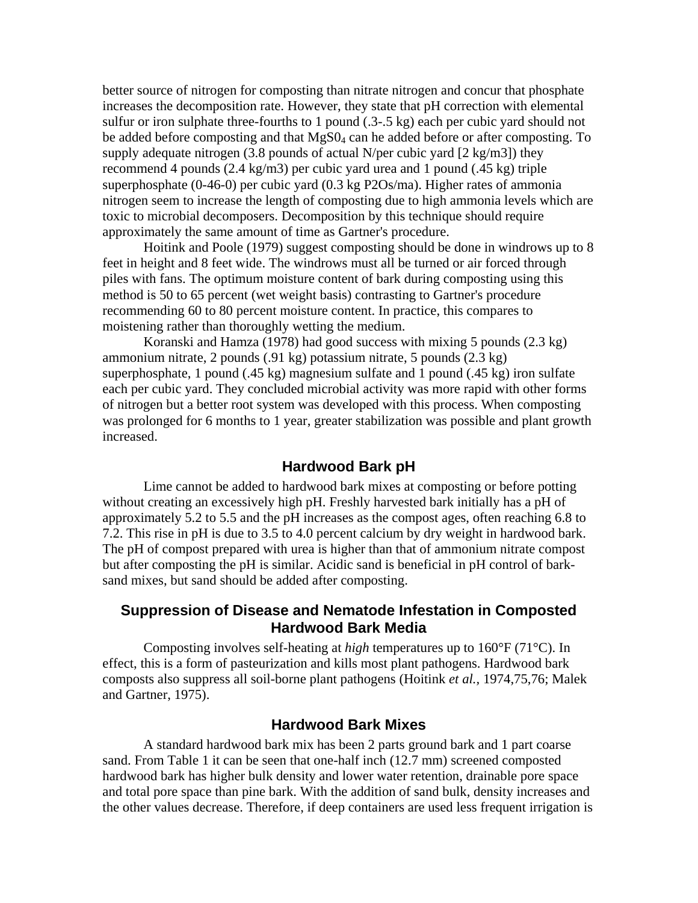better source of nitrogen for composting than nitrate nitrogen and concur that phosphate increases the decomposition rate. However, they state that pH correction with elemental sulfur or iron sulphate three-fourths to 1 pound (.3-.5 kg) each per cubic yard should not be added before composting and that MgS0<sub>4</sub> can he added before or after composting. To supply adequate nitrogen (3.8 pounds of actual N/per cubic yard  $[2 \text{ kg/m3}]$ ) they recommend 4 pounds (2.4 kg/m3) per cubic yard urea and 1 pound (.45 kg) triple superphosphate (0-46-0) per cubic yard (0.3 kg P2Os/ma). Higher rates of ammonia nitrogen seem to increase the length of composting due to high ammonia levels which are toxic to microbial decomposers. Decomposition by this technique should require approximately the same amount of time as Gartner's procedure.

Hoitink and Poole (1979) suggest composting should be done in windrows up to 8 feet in height and 8 feet wide. The windrows must all be turned or air forced through piles with fans. The optimum moisture content of bark during composting using this method is 50 to 65 percent (wet weight basis) contrasting to Gartner's procedure recommending 60 to 80 percent moisture content. In practice, this compares to moistening rather than thoroughly wetting the medium.

Koranski and Hamza (1978) had good success with mixing 5 pounds (2.3 kg) ammonium nitrate, 2 pounds (.91 kg) potassium nitrate, 5 pounds (2.3 kg) superphosphate, 1 pound (.45 kg) magnesium sulfate and 1 pound (.45 kg) iron sulfate each per cubic yard. They concluded microbial activity was more rapid with other forms of nitrogen but a better root system was developed with this process. When composting was prolonged for 6 months to 1 year, greater stabilization was possible and plant growth increased.

#### **Hardwood Bark pH**

Lime cannot be added to hardwood bark mixes at composting or before potting without creating an excessively high pH. Freshly harvested bark initially has a pH of approximately 5.2 to 5.5 and the pH increases as the compost ages, often reaching 6.8 to 7.2. This rise in pH is due to 3.5 to 4.0 percent calcium by dry weight in hardwood bark. The pH of compost prepared with urea is higher than that of ammonium nitrate compost but after composting the pH is similar. Acidic sand is beneficial in pH control of barksand mixes, but sand should be added after composting.

# **Suppression of Disease and Nematode Infestation in Composted Hardwood Bark Media**

Composting involves self-heating at *high* temperatures up to 160°F (71°C). In effect, this is a form of pasteurization and kills most plant pathogens. Hardwood bark composts also suppress all soil-borne plant pathogens (Hoitink *et al.,* 1974,75,76; Malek and Gartner, 1975).

#### **Hardwood Bark Mixes**

A standard hardwood bark mix has been 2 parts ground bark and 1 part coarse sand. From Table 1 it can be seen that one-half inch (12.7 mm) screened composted hardwood bark has higher bulk density and lower water retention, drainable pore space and total pore space than pine bark. With the addition of sand bulk, density increases and the other values decrease. Therefore, if deep containers are used less frequent irrigation is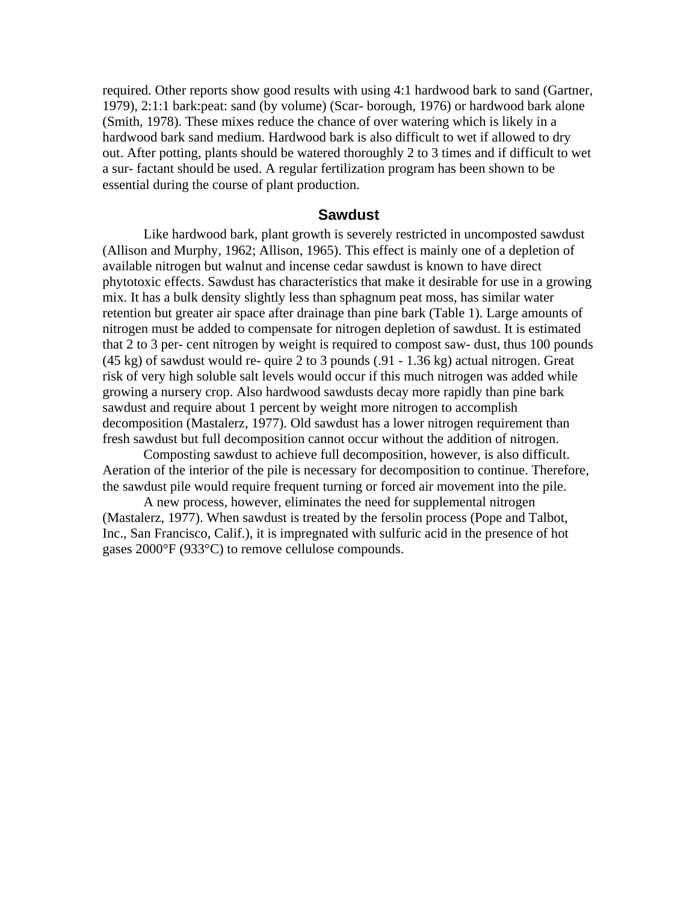required. Other reports show good results with using 4:1 hardwood bark to sand (Gartner, 1979), 2:1:1 bark:peat: sand (by volume) (Scar- borough, 1976) or hardwood bark alone (Smith, 1978). These mixes reduce the chance of over watering which is likely in a hardwood bark sand medium. Hardwood bark is also difficult to wet if allowed to dry out. After potting, plants should be watered thoroughly 2 to 3 times and if difficult to wet a sur- factant should be used. A regular fertilization program has been shown to be essential during the course of plant production.

#### **Sawdust**

Like hardwood bark, plant growth is severely restricted in uncomposted sawdust (Allison and Murphy, 1962; Allison, 1965). This effect is mainly one of a depletion of available nitrogen but walnut and incense cedar sawdust is known to have direct phytotoxic effects. Sawdust has characteristics that make it desirable for use in a growing mix. It has a bulk density slightly less than sphagnum peat moss, has similar water retention but greater air space after drainage than pine bark (Table 1). Large amounts of nitrogen must be added to compensate for nitrogen depletion of sawdust. It is estimated that 2 to 3 per- cent nitrogen by weight is required to compost saw- dust, thus 100 pounds (45 kg) of sawdust would re- quire 2 to 3 pounds (.91 - 1.36 kg) actual nitrogen. Great risk of very high soluble salt levels would occur if this much nitrogen was added while growing a nursery crop. Also hardwood sawdusts decay more rapidly than pine bark sawdust and require about 1 percent by weight more nitrogen to accomplish decomposition (Mastalerz, 1977). Old sawdust has a lower nitrogen requirement than fresh sawdust but full decomposition cannot occur without the addition of nitrogen.

Composting sawdust to achieve full decomposition, however, is also difficult. Aeration of the interior of the pile is necessary for decomposition to continue. Therefore, the sawdust pile would require frequent turning or forced air movement into the pile.

A new process, however, eliminates the need for supplemental nitrogen (Mastalerz, 1977). When sawdust is treated by the fersolin process (Pope and Talbot, Inc., San Francisco, Calif.), it is impregnated with sulfuric acid in the presence of hot gases 2000°F (933°C) to remove cellulose compounds.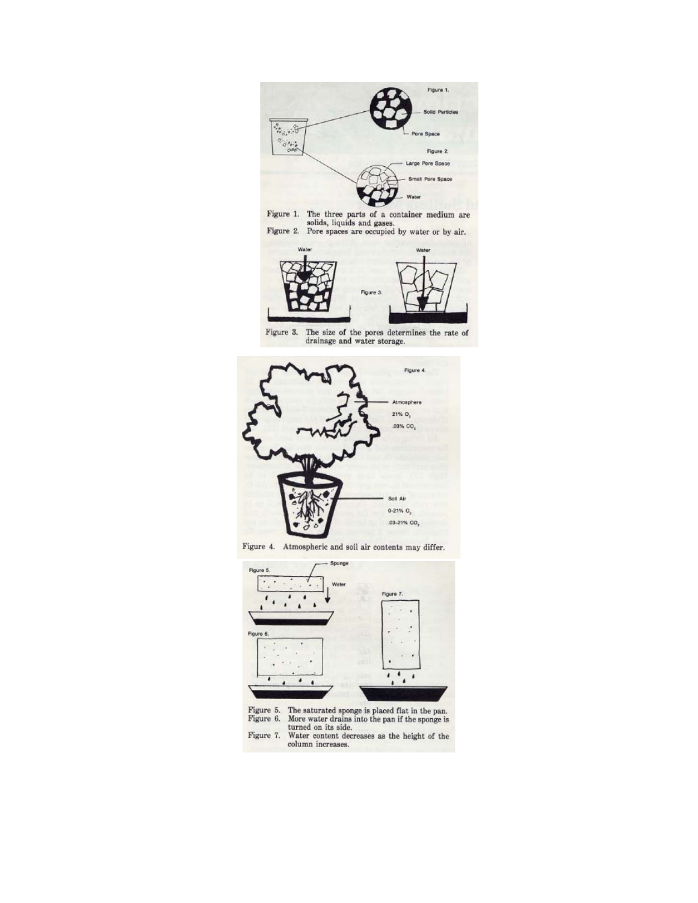

Figure 1. The three parts of a container medium are solids, liquids and gases.<br>Figure 2. Pore spaces are occupied by water or by air.



Figure 3. The size of the pores determines the rate of drainage and water storage.



Figure 4. Atmospheric and soil air contents may differ.



Figure 5. The saturated sponge is placed flat in the pan.<br>Figure 6. More water drains into the pan if the sponge is<br>turned on its side.<br>Figure 7. Water content decreases as the height of the<br>column increases.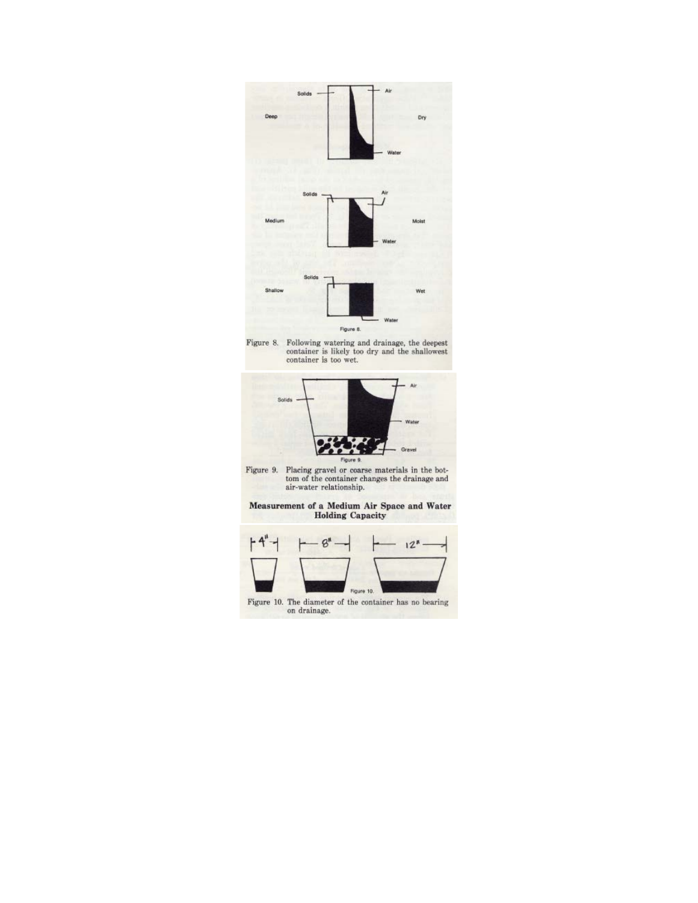

Figure 8.





 $\begin{tabular}{p{0.8cm}} \textbf{Figure 9.} \textbf{ Placing travel or coarse materials in the bottom of the container changes the drainage and air-water relationship.} \end{tabular}$ 

Measurement of a Medium Air Space and Water<br>Holding Capacity

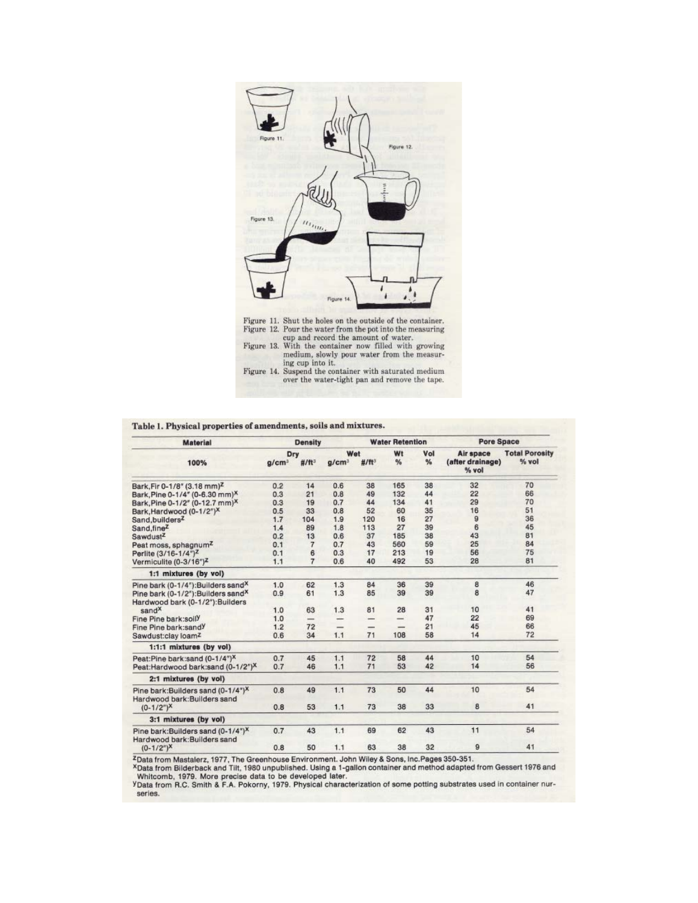

#### Table 1. Physical properties of amendments, soils and mixtures.

| <b>Material</b><br>100%                                                            | <b>Density</b>    |                |                   |               | <b>Water Retention</b> |     | Pore Space                |                       |
|------------------------------------------------------------------------------------|-------------------|----------------|-------------------|---------------|------------------------|-----|---------------------------|-----------------------|
|                                                                                    | Dry               |                | Wet               |               | Wt                     | Vol | Air space                 | <b>Total Porosity</b> |
|                                                                                    | g/cm <sup>3</sup> | $# / ft^3$     | g/cm <sup>3</sup> | #/ft3         | %                      | %   | (after drainage)<br>% vol | % vol                 |
| Bark, Fir 0-1/8" (3.18 mm) <sup>Z</sup>                                            | 0.2               | 14             | 0.6               | 38            | 165                    | 38  | 32                        | 70                    |
| Bark, Pine 0-1/4" (0-6.30 mm) <sup>X</sup>                                         | 0.3               | 21             | 0.8               | 49            | 132                    | 44  | 22                        | 66                    |
| Bark, Pine 0-1/2" (0-12.7 mm) <sup>X</sup>                                         | 0.3               | 19             | 0.7               | 44            | 134                    | 41  | 29                        | 70                    |
| Bark, Hardwood (0-1/2") <sup>X</sup>                                               | 0.5               | 33             | 0.8               | 52            | 60                     | 35  | 16                        | 51                    |
| Sand, builders <sup>Z</sup>                                                        | 1.7               | 104            | 1.9               | 120           | 16                     | 27  | 9                         | 36                    |
| Sand, fine <sup>Z</sup>                                                            | 1.4               | 89             | 1.8               | 113           | 27                     | 39  | 6                         | 45                    |
| Sawdust <sup>z</sup>                                                               | 0.2               | 13             | 0.6               | 37            | 185                    | 38  | 43                        | 81                    |
| Peat moss, sphagnum <sup>Z</sup>                                                   | 0.1               | 7              | 0.7               | 43            | 560                    | 59  | 25                        | 84                    |
| Perlite (3/16-1/4") <sup>2</sup>                                                   | 0.1               | 6              | 0.3               | 17            | 213                    | 19  | 56                        | 75                    |
| Vermiculite (0-3/16") <sup>Z</sup>                                                 | 1.1               | $\overline{7}$ | 0.6               | 40            | 492                    | 53  | 28                        | 81                    |
| 1:1 mixtures (by vol)                                                              |                   |                |                   |               |                        |     |                           |                       |
| Pine bark (0-1/4"): Builders sand <sup>X</sup>                                     | 1.0               | 62             | 1.3               | 84            | 36                     | 39  | 8                         | 46                    |
| Pine bark (0-1/2"): Builders sand <sup>X</sup><br>Hardwood bark (0-1/2"): Builders | 0.9               | 61             | 1.3               | 85            | 39                     | 39  | 8                         | 47                    |
| sand <sup>X</sup>                                                                  | 1.0               | 63             | 1.3               | 81            | 28                     | 31  | 10                        | 41                    |
| Fine Pine bark:soily                                                               | 1.0               |                |                   | $\overline{}$ | -                      | 47  | 22                        | 69                    |
| Fine Pine bark:sandy                                                               | 1.2               | 72             | -                 |               |                        | 21  | 45                        | 66                    |
| Sawdust:clay loam <sup>z</sup>                                                     | 0.6               | 34             | 1.1               | 71            | 108                    | 58  | 14                        | 72                    |
| 1:1:1 mixtures (by vol)                                                            |                   |                |                   |               |                        |     |                           |                       |
| Peat:Pine bark:sand (0-1/4") <sup>X</sup>                                          | 0.7               | 45             | 1.1               | 72            | 58                     | 44  | 10                        | 54                    |
| Peat:Hardwood bark:sand (0-1/2") <sup>X</sup>                                      | 0.7               | 46             | 1.1               | 71            | 53                     | 42  | 14                        | 56                    |
| 2:1 mixtures (by vol)                                                              |                   |                |                   |               |                        |     |                           |                       |
| Pine bark: Builders sand (0-1/4") <sup>X</sup><br>Hardwood bark: Builders sand     | 0.8               | 49             | 1.1               | 73            | 50                     | 44  | 10                        | 54                    |
| $(0-1/2")^{\chi}$                                                                  | 0.8               | 53             | 1.1               | 73            | 38                     | 33  | 8                         | 41                    |
| 3:1 mixtures (by vol)                                                              |                   |                |                   |               |                        |     |                           |                       |
| Pine bark: Builders sand (0-1/4") <sup>X</sup><br>Hardwood bark: Builders sand     | 0.7               | 43             | 1.1               | 69            | 62                     | 43  | 11                        | 54                    |
| $(0-1/2^{n})^{X}$                                                                  | 0.8               | 50             | 1.1               | 63            | 38                     | 32  | 9                         | 41                    |
|                                                                                    |                   |                |                   |               |                        |     |                           |                       |

 $\frac{1}{2}$  Data from Mastalerz, 1977, The Greenhouse Environment. John Wiley & Sons, Inc.Pages 350-351.<br>
XData from Bilderback and Tilt, 1980 unpublished. Using a 1-gallon container and method adapted from Gessert 1976 and

series.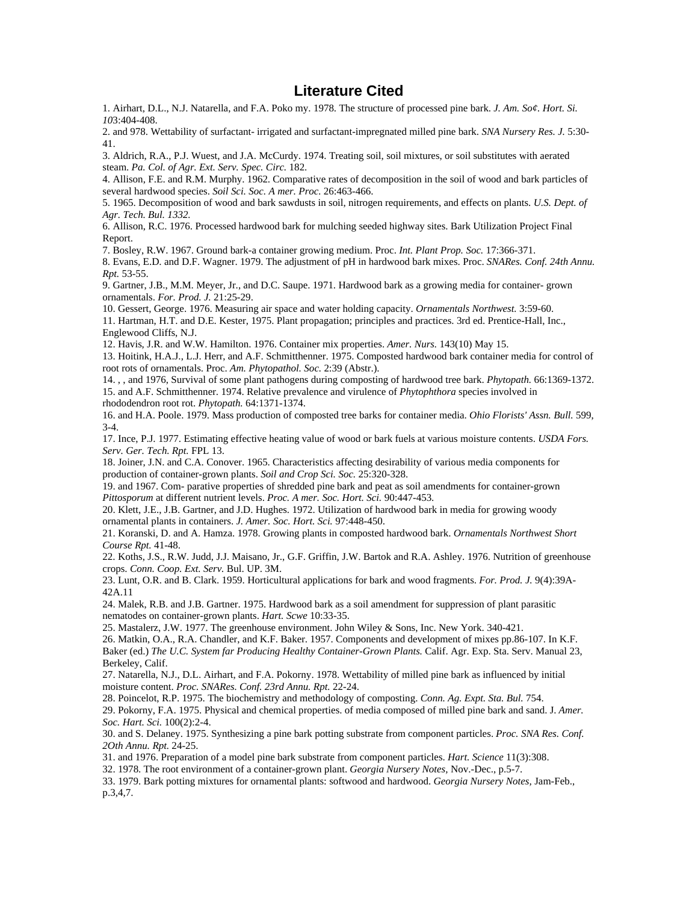### **Literature Cited**

1. Airhart, D.L., N.J. Natarella, and F.A. Poko my. 1978. The structure of processed pine bark. *J. Am. So¢. Hort. Si. 10*3:404-408.

2. and 978. Wettability of surfactant- irrigated and surfactant-impregnated milled pine bark. *SNA Nursery Res. J.* 5:30- 41.

3. Aldrich, R.A., P.J. Wuest, and J.A. McCurdy. 1974. Treating soil, soil mixtures, or soil substitutes with aerated steam. *Pa. Col. of Agr. Ext. Serv. Spec. Circ.* 182.

4. Allison, F.E. and R.M. Murphy. 1962. Comparative rates of decomposition in the soil of wood and bark particles of several hardwood species. *Soil Sci. Soc. A mer. Proc.* 26:463-466.

5. 1965. Decomposition of wood and bark sawdusts in soil, nitrogen requirements, and effects on plants. *U.S. Dept. of Agr. Tech. Bul. 1332.* 

6. Allison, R.C. 1976. Processed hardwood bark for mulching seeded highway sites. Bark Utilization Project Final Report.

7. Bosley, R.W. 1967. Ground bark-a container growing medium. Proc. *Int. Plant Prop. Soc.* 17:366-371.

8. Evans, E.D. and D.F. Wagner. 1979. The adjustment of pH in hardwood bark mixes. Proc. *SNARes. Conf. 24th Annu. Rpt.* 53-55.

9. Gartner, J.B., M.M. Meyer, Jr., and D.C. Saupe. 1971. Hardwood bark as a growing media for container- grown ornamentals. *For. Prod. J.* 21:25-29.

10. Gessert, George. 1976. Measuring air space and water holding capacity. *Ornamentals Northwest.* 3:59-60.

11. Hartman, H.T. and D.E. Kester, 1975. Plant propagation; principles and practices. 3rd ed. Prentice-Hall, Inc., Englewood Cliffs, N.J.

12. Havis, J.R. and W.W. Hamilton. 1976. Container mix properties. *Amer. Nurs.* 143(10) May 15.

13. Hoitink, H.A.J., L.J. Herr, and A.F. Schmitthenner. 1975. Composted hardwood bark container media for control of root rots of ornamentals. Proc. *Am. Phytopathol. Soc.* 2:39 (Abstr.).

14. , , and 1976, Survival of some plant pathogens during composting of hardwood tree bark. *Phytopath.* 66:1369-1372. 15. and A.F. Schmitthenner. 1974. Relative prevalence and virulence of *Phytophthora* species involved in rhododendron root rot. *Phytopath.* 64:1371-1374.

16. and H.A. Poole. 1979. Mass production of composted tree barks for container media. *Ohio Florists' Assn. Bull.* 599, 3-4.

17. Ince, P.J. 1977. Estimating effective heating value of wood or bark fuels at various moisture contents. *USDA Fors. Serv. Ger. Tech. Rpt.* FPL 13.

18. Joiner, J.N. and C.A. Conover. 1965. Characteristics affecting desirability of various media components for production of container-grown plants. *Soil and Crop Sci. Soc.* 25:320-328.

19. and 1967. Com- parative properties of shredded pine bark and peat as soil amendments for container-grown *Pittosporum* at different nutrient levels. *Proc. A mer. Soc. Hort. Sci.* 90:447-453.

20. Klett, J.E., J.B. Gartner, and J.D. Hughes. 1972. Utilization of hardwood bark in media for growing woody ornamental plants in containers. *J. Amer. Soc. Hort. Sci.* 97:448-450.

21. Koranski, D. and A. Hamza. 1978. Growing plants in composted hardwood bark. *Ornamentals Northwest Short Course Rpt.* 41-48.

22. Koths, J.S., R.W. Judd, J.J. Maisano, Jr., G.F. Griffin, J.W. Bartok and R.A. Ashley. 1976. Nutrition of greenhouse crops. *Conn. Coop. Ext. Serv.* Bul. UP. 3M.

23. Lunt, O.R. and B. Clark. 1959. Horticultural applications for bark and wood fragments. *For. Prod. J.* 9(4):39A-42A.11

24. Malek, R.B. and J.B. Gartner. 1975. Hardwood bark as a soil amendment for suppression of plant parasitic nematodes on container-grown plants. *Hart. Scwe* 10:33-35.

25. Mastalerz, J.W. 1977. The greenhouse environment. John Wiley & Sons, Inc. New York. 340-421.

26. Matkin, O.A., R.A. Chandler, and K.F. Baker. 1957. Components and development of mixes pp.86-107. In K.F. Baker (ed.) *The U.C. System far Producing Healthy Container-Grown Plants.* Calif. Agr. Exp. Sta. Serv. Manual 23, Berkeley, Calif.

27. Natarella, N.J., D.L. Airhart, and F.A. Pokorny. 1978. Wettability of milled pine bark as influenced by initial moisture content. *Proc. SNARes. Conf. 23rd Annu. Rpt.* 22-24.

28. Poincelot, R.P. 1975. The biochemistry and methodology of composting. *Conn. Ag. Expt. Sta. Bul.* 754.

29. Pokorny, F.A. 1975. Physical and chemical properties. of media composed of milled pine bark and sand. J. *Amer. Soc. Hart. Sci.* 100(2):2-4.

30. and S. Delaney. 1975. Synthesizing a pine bark potting substrate from component particles. *Proc. SNA Res. Conf. 2Oth Annu. Rpt.* 24-25.

31. and 1976. Preparation of a model pine bark substrate from component particles. *Hart. Science* 11(3):308.

32. 1978. The root environment of a container-grown plant. *Georgia Nursery Notes,* Nov.-Dec., p.5-7.

33. 1979. Bark potting mixtures for ornamental plants: softwood and hardwood. *Georgia Nursery Notes,* Jam-Feb., p.3,4,7.